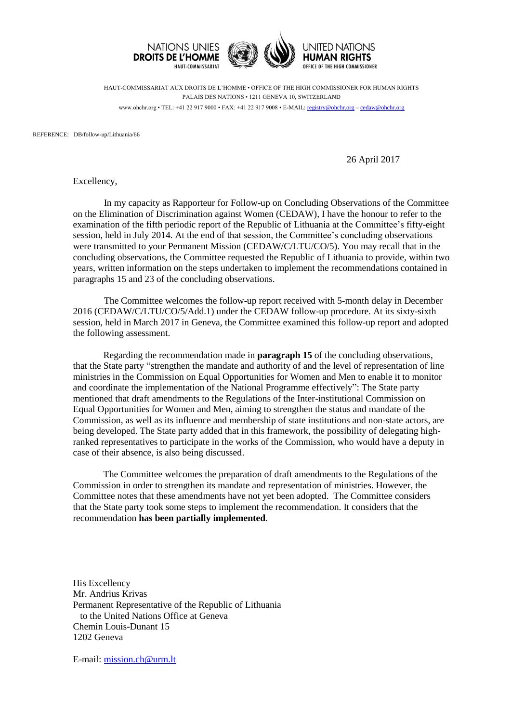

HAUT-COMMISSARIAT AUX DROITS DE L'HOMME • OFFICE OF THE HIGH COMMISSIONER FOR HUMAN RIGHTS PALAIS DES NATIONS • 1211 GENEVA 10, SWITZERLAND www.ohchr.org • TEL: +41 22 917 9000 • FAX: +41 22 917 9008 • E-MAIL: [registry@ohchr.org](mailto:registry@ohchr.org) – [cedaw@ohchr.org](mailto:cedaw@ohchr.org)

REFERENCE: DB/follow-up/Lithuania/66

26 April 2017

Excellency,

In my capacity as Rapporteur for Follow-up on Concluding Observations of the Committee on the Elimination of Discrimination against Women (CEDAW), I have the honour to refer to the examination of the fifth periodic report of the Republic of Lithuania at the Committee's fifty-eight session, held in July 2014. At the end of that session, the Committee's concluding observations were transmitted to your Permanent Mission (CEDAW/C/LTU/CO/5). You may recall that in the concluding observations, the Committee requested the Republic of Lithuania to provide, within two years, written information on the steps undertaken to implement the recommendations contained in paragraphs 15 and 23 of the concluding observations.

The Committee welcomes the follow-up report received with 5-month delay in December 2016 (CEDAW/C/LTU/CO/5/Add.1) under the CEDAW follow-up procedure. At its sixty-sixth session, held in March 2017 in Geneva, the Committee examined this follow-up report and adopted the following assessment.

Regarding the recommendation made in **paragraph 15** of the concluding observations, that the State party "strengthen the mandate and authority of and the level of representation of line ministries in the Commission on Equal Opportunities for Women and Men to enable it to monitor and coordinate the implementation of the National Programme effectively": The State party mentioned that draft amendments to the Regulations of the Inter-institutional Commission on Equal Opportunities for Women and Men, aiming to strengthen the status and mandate of the Commission, as well as its influence and membership of state institutions and non-state actors, are being developed. The State party added that in this framework, the possibility of delegating highranked representatives to participate in the works of the Commission, who would have a deputy in case of their absence, is also being discussed.

The Committee welcomes the preparation of draft amendments to the Regulations of the Commission in order to strengthen its mandate and representation of ministries. However, the Committee notes that these amendments have not yet been adopted. The Committee considers that the State party took some steps to implement the recommendation. It considers that the recommendation **has been partially implemented**.

His Excellency Mr. Andrius Krivas Permanent Representative of the Republic of Lithuania to the United Nations Office at Geneva Chemin Louis-Dunant 15 1202 Geneva

E-mail: [mission.ch@urm.lt](mailto:mission.ch@urm.lt)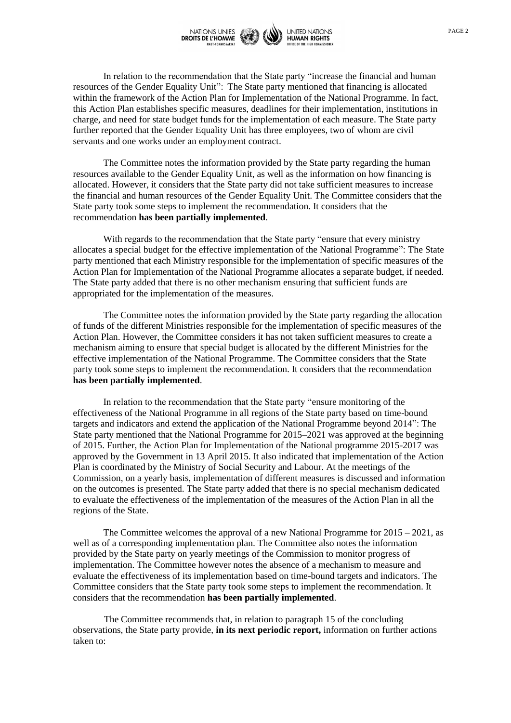

In relation to the recommendation that the State party "increase the financial and human resources of the Gender Equality Unit": The State party mentioned that financing is allocated within the framework of the Action Plan for Implementation of the National Programme. In fact, this Action Plan establishes specific measures, deadlines for their implementation, institutions in charge, and need for state budget funds for the implementation of each measure. The State party further reported that the Gender Equality Unit has three employees, two of whom are civil servants and one works under an employment contract.

The Committee notes the information provided by the State party regarding the human resources available to the Gender Equality Unit, as well as the information on how financing is allocated. However, it considers that the State party did not take sufficient measures to increase the financial and human resources of the Gender Equality Unit. The Committee considers that the State party took some steps to implement the recommendation. It considers that the recommendation **has been partially implemented**.

With regards to the recommendation that the State party "ensure that every ministry allocates a special budget for the effective implementation of the National Programme": The State party mentioned that each Ministry responsible for the implementation of specific measures of the Action Plan for Implementation of the National Programme allocates a separate budget, if needed. The State party added that there is no other mechanism ensuring that sufficient funds are appropriated for the implementation of the measures.

The Committee notes the information provided by the State party regarding the allocation of funds of the different Ministries responsible for the implementation of specific measures of the Action Plan. However, the Committee considers it has not taken sufficient measures to create a mechanism aiming to ensure that special budget is allocated by the different Ministries for the effective implementation of the National Programme. The Committee considers that the State party took some steps to implement the recommendation. It considers that the recommendation **has been partially implemented**.

In relation to the recommendation that the State party "ensure monitoring of the effectiveness of the National Programme in all regions of the State party based on time-bound targets and indicators and extend the application of the National Programme beyond 2014": The State party mentioned that the National Programme for 2015–2021 was approved at the beginning of 2015. Further, the Action Plan for Implementation of the National programme 2015-2017 was approved by the Government in 13 April 2015. It also indicated that implementation of the Action Plan is coordinated by the Ministry of Social Security and Labour. At the meetings of the Commission, on a yearly basis, implementation of different measures is discussed and information on the outcomes is presented. The State party added that there is no special mechanism dedicated to evaluate the effectiveness of the implementation of the measures of the Action Plan in all the regions of the State.

The Committee welcomes the approval of a new National Programme for  $2015 - 2021$ , as well as of a corresponding implementation plan. The Committee also notes the information provided by the State party on yearly meetings of the Commission to monitor progress of implementation. The Committee however notes the absence of a mechanism to measure and evaluate the effectiveness of its implementation based on time-bound targets and indicators. The Committee considers that the State party took some steps to implement the recommendation. It considers that the recommendation **has been partially implemented**.

The Committee recommends that, in relation to paragraph 15 of the concluding observations, the State party provide, **in its next periodic report,** information on further actions taken to: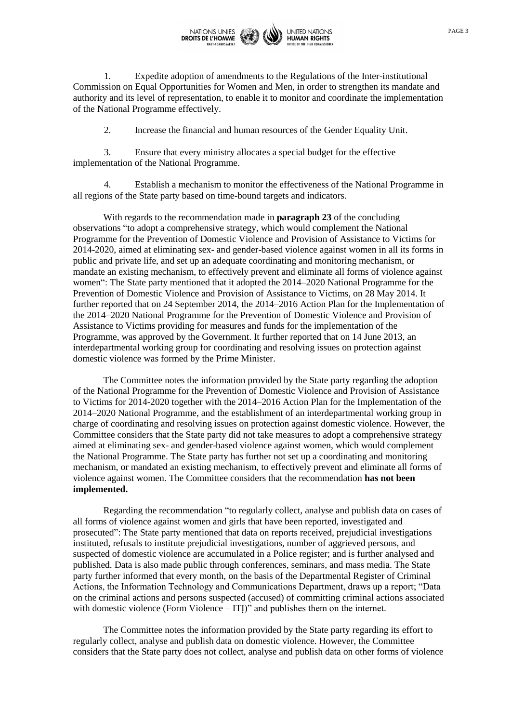

1. Expedite adoption of amendments to the Regulations of the Inter-institutional Commission on Equal Opportunities for Women and Men, in order to strengthen its mandate and authority and its level of representation, to enable it to monitor and coordinate the implementation of the National Programme effectively.

2. Increase the financial and human resources of the Gender Equality Unit.

3. Ensure that every ministry allocates a special budget for the effective implementation of the National Programme.

4. Establish a mechanism to monitor the effectiveness of the National Programme in all regions of the State party based on time-bound targets and indicators.

With regards to the recommendation made in **paragraph 23** of the concluding observations "to adopt a comprehensive strategy, which would complement the National Programme for the Prevention of Domestic Violence and Provision of Assistance to Victims for 2014-2020, aimed at eliminating sex- and gender-based violence against women in all its forms in public and private life, and set up an adequate coordinating and monitoring mechanism, or mandate an existing mechanism, to effectively prevent and eliminate all forms of violence against women": The State party mentioned that it adopted the 2014–2020 National Programme for the Prevention of Domestic Violence and Provision of Assistance to Victims, on 28 May 2014. It further reported that on 24 September 2014, the 2014–2016 Action Plan for the Implementation of the 2014–2020 National Programme for the Prevention of Domestic Violence and Provision of Assistance to Victims providing for measures and funds for the implementation of the Programme, was approved by the Government. It further reported that on 14 June 2013, an interdepartmental working group for coordinating and resolving issues on protection against domestic violence was formed by the Prime Minister.

The Committee notes the information provided by the State party regarding the adoption of the National Programme for the Prevention of Domestic Violence and Provision of Assistance to Victims for 2014-2020 together with the 2014–2016 Action Plan for the Implementation of the 2014–2020 National Programme, and the establishment of an interdepartmental working group in charge of coordinating and resolving issues on protection against domestic violence. However, the Committee considers that the State party did not take measures to adopt a comprehensive strategy aimed at eliminating sex- and gender-based violence against women, which would complement the National Programme. The State party has further not set up a coordinating and monitoring mechanism, or mandated an existing mechanism, to effectively prevent and eliminate all forms of violence against women. The Committee considers that the recommendation **has not been implemented.**

Regarding the recommendation "to regularly collect, analyse and publish data on cases of all forms of violence against women and girls that have been reported, investigated and prosecuted": The State party mentioned that data on reports received, prejudicial investigations instituted, refusals to institute prejudicial investigations, number of aggrieved persons, and suspected of domestic violence are accumulated in a Police register; and is further analysed and published. Data is also made public through conferences, seminars, and mass media. The State party further informed that every month, on the basis of the Departmental Register of Criminal Actions, the Information Technology and Communications Department, draws up a report; "Data on the criminal actions and persons suspected (accused) of committing criminal actions associated with domestic violence (Form Violence – ITI)" and publishes them on the internet.

The Committee notes the information provided by the State party regarding its effort to regularly collect, analyse and publish data on domestic violence. However, the Committee considers that the State party does not collect, analyse and publish data on other forms of violence